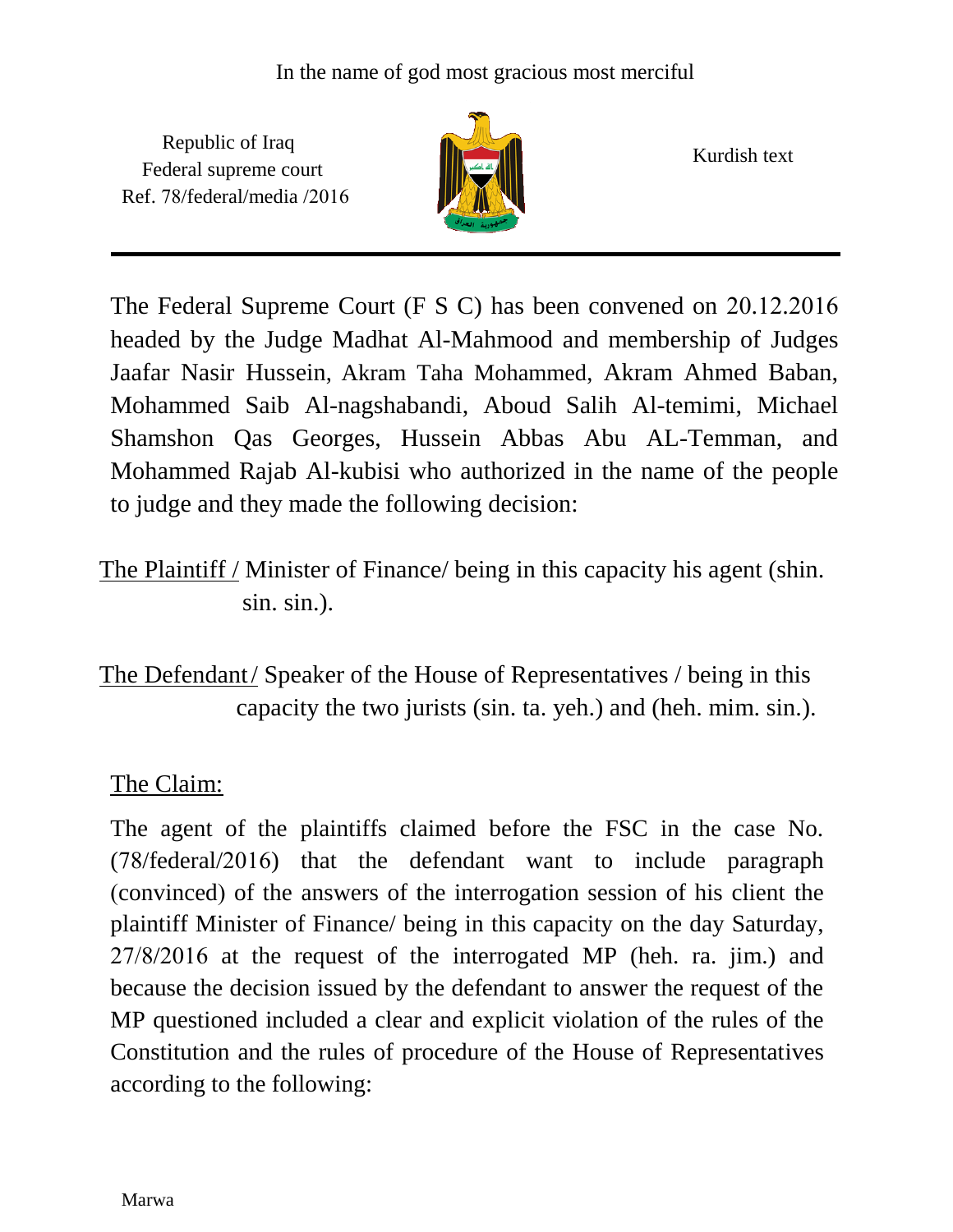Republic of Iraq Federal supreme court Ref. 78/federal/media /2016



Kurdish text

The Federal Supreme Court  $(F S C)$  has been convened on 20.12.2016 headed by the Judge Madhat Al-Mahmood and membership of Judges Jaafar Nasir Hussein, Akram Taha Mohammed, Akram Ahmed Baban, Mohammed Saib Al-nagshabandi, Aboud Salih Al-temimi, Michael Shamshon Qas Georges, Hussein Abbas Abu AL-Temman, and Mohammed Rajab Al-kubisi who authorized in the name of the people to judge and they made the following decision:

The Plaintiff / Minister of Finance/ being in this capacity his agent (shin. sin. sin.).

The Defendant/ Speaker of the House of Representatives / being in this capacity the two jurists (sin. ta. yeh.) and (heh. mim. sin.).

## The Claim:

The agent of the plaintiffs claimed before the FSC in the case No.  $(78/federal/2016)$  that the defendant want to include paragraph (convinced) of the answers of the interrogation session of his client the plaintiff Minister of Finance/ being in this capacity on the day Saturday,  $27/8/2016$  at the request of the interrogated MP (heh. ra. jim.) and because the decision issued by the defendant to answer the request of the MP questioned included a clear and explicit violation of the rules of the Constitution and the rules of procedure of the House of Representatives according to the following: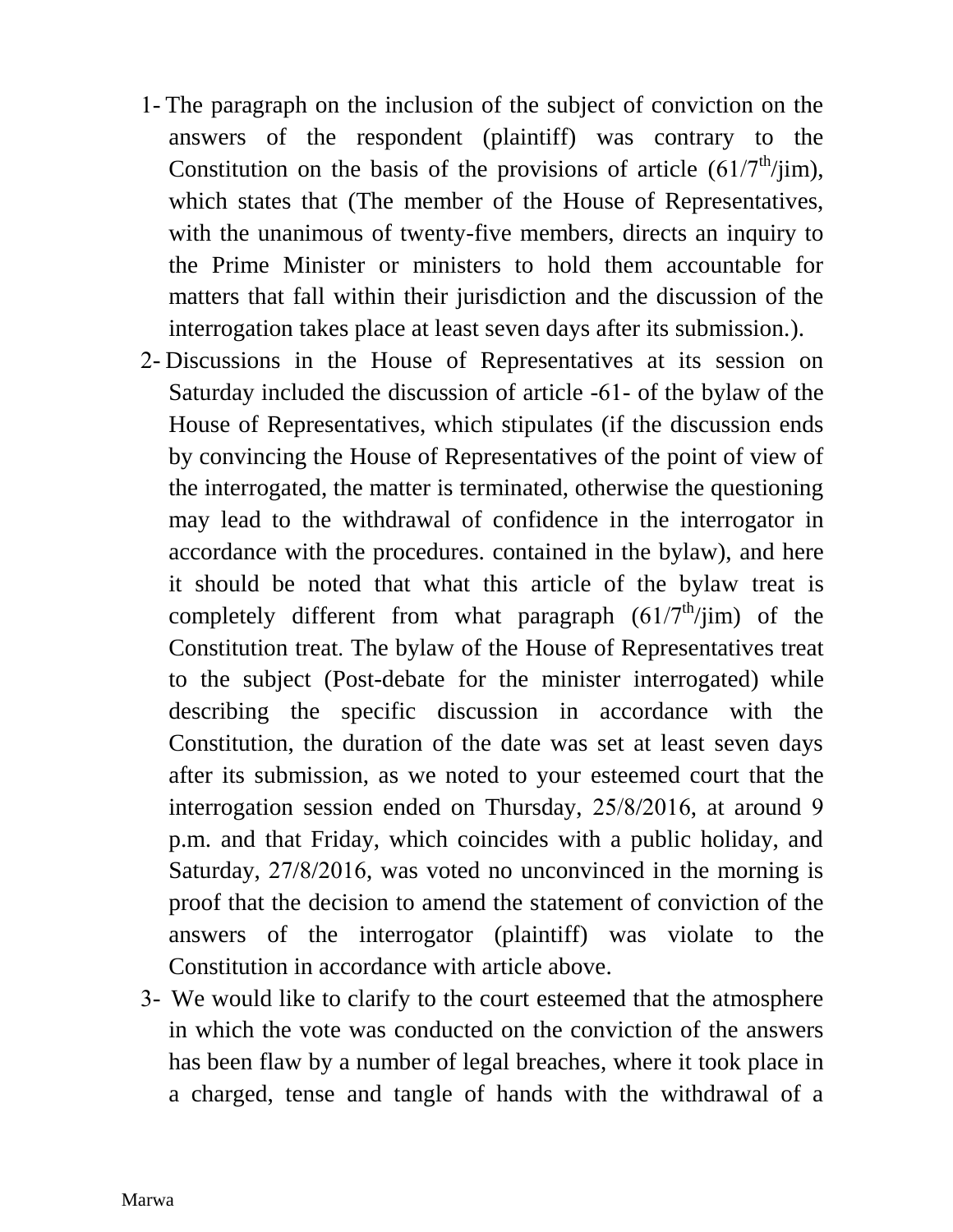- The paragraph on the inclusion of the subject of conviction on the answers of the respondent (plaintiff) was contrary to the Constitution on the basis of the provisions of article  $(61/7<sup>th</sup>/jim)$ , which states that (The member of the House of Representatives, with the unanimous of twenty-five members, directs an inquiry to the Prime Minister or ministers to hold them accountable for matters that fall within their jurisdiction and the discussion of the interrogation takes place at least seven days after its submission.).
- Discussions in the House of Representatives at its session on Saturday included the discussion of article -61- of the bylaw of the House of Representatives, which stipulates (if the discussion ends by convincing the House of Representatives of the point of view of the interrogated, the matter is terminated, otherwise the questioning may lead to the withdrawal of confidence in the interrogator in accordance with the procedures. contained in the bylaw), and here it should be noted that what this article of the bylaw treat is completely different from what paragraph  $(61/7<sup>th</sup>/jim)$  of the Constitution treat. The bylaw of the House of Representatives treat to the subject (Post-debate for the minister interrogated) while describing the specific discussion in accordance with the Constitution, the duration of the date was set at least seven days after its submission, as we noted to your esteemed court that the interrogation session ended on Thursday,  $25/8/2016$ , at around 9 p.m. and that Friday, which coincides with a public holiday, and Saturday,  $27/8/2016$ , was voted no unconvinced in the morning is proof that the decision to amend the statement of conviction of the answers of the interrogator (plaintiff) was violate to the Constitution in accordance with article above.
- We would like to clarify to the court esteemed that the atmosphere in which the vote was conducted on the conviction of the answers has been flaw by a number of legal breaches, where it took place in a charged, tense and tangle of hands with the withdrawal of a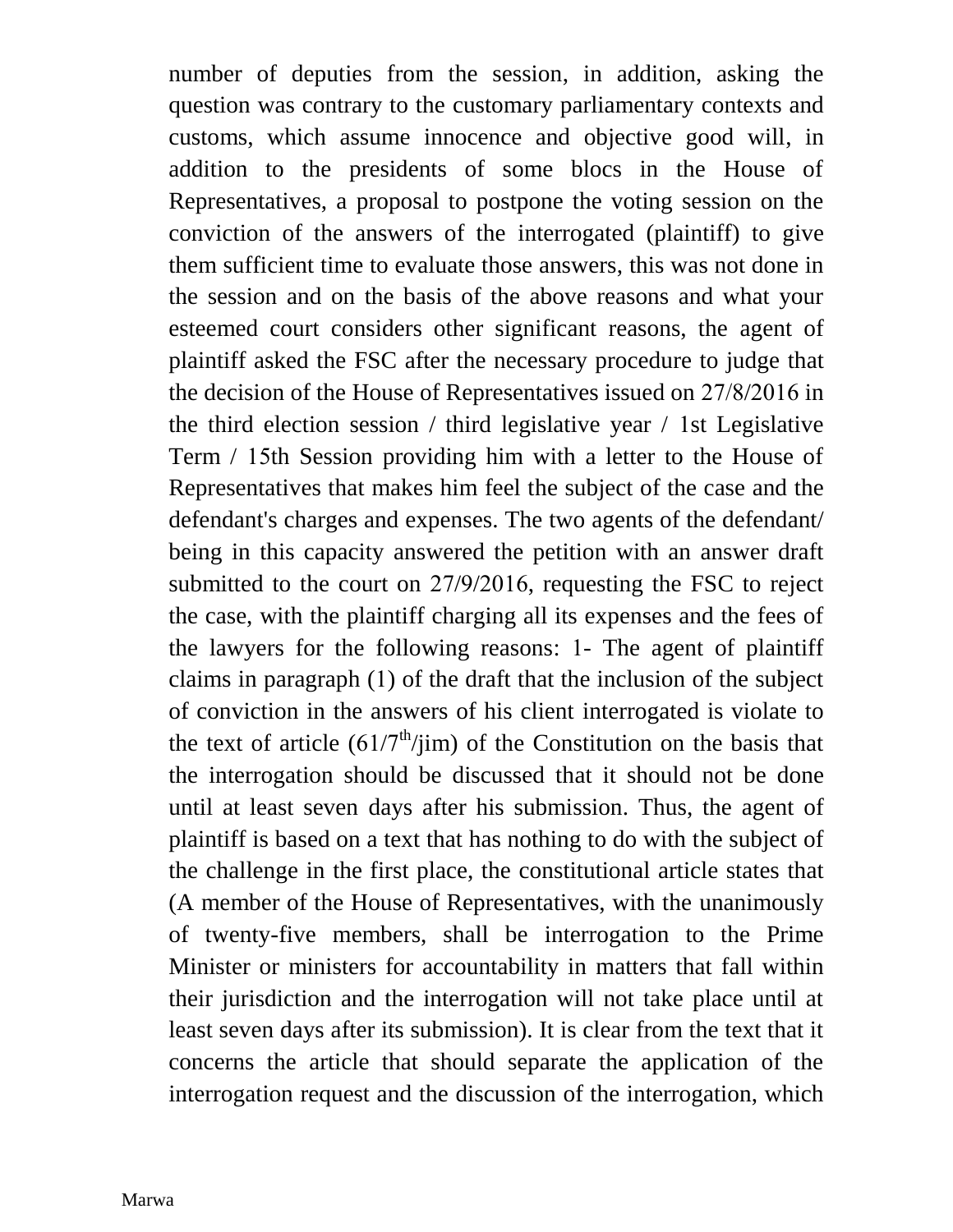number of deputies from the session, in addition, asking the question was contrary to the customary parliamentary contexts and customs, which assume innocence and objective good will, in addition to the presidents of some blocs in the House of Representatives, a proposal to postpone the voting session on the conviction of the answers of the interrogated (plaintiff) to give them sufficient time to evaluate those answers, this was not done in the session and on the basis of the above reasons and what your esteemed court considers other significant reasons, the agent of plaintiff asked the FSC after the necessary procedure to judge that the decision of the House of Representatives issued on  $27/8/2016$  in the third election session  $\ell$  third legislative year  $\ell$  1st Legislative Term / 15th Session providing him with a letter to the House of Representatives that makes him feel the subject of the case and the defendant's charges and expenses. The two agents of the defendant/ being in this capacity answered the petition with an answer draft submitted to the court on  $27/9/2016$ , requesting the FSC to reject the case, with the plaintiff charging all its expenses and the fees of the lawyers for the following reasons: 1- The agent of plaintiff claims in paragraph  $(1)$  of the draft that the inclusion of the subject of conviction in the answers of his client interrogated is violate to the text of article  $(61/7<sup>th</sup>/jim)$  of the Constitution on the basis that the interrogation should be discussed that it should not be done until at least seven days after his submission. Thus, the agent of plaintiff is based on a text that has nothing to do with the subject of the challenge in the first place, the constitutional article states that (A member of the House of Representatives, with the unanimously of twenty-five members, shall be interrogation to the Prime Minister or ministers for accountability in matters that fall within their jurisdiction and the interrogation will not take place until at least seven days after its submission). It is clear from the text that it concerns the article that should separate the application of the interrogation request and the discussion of the interrogation, which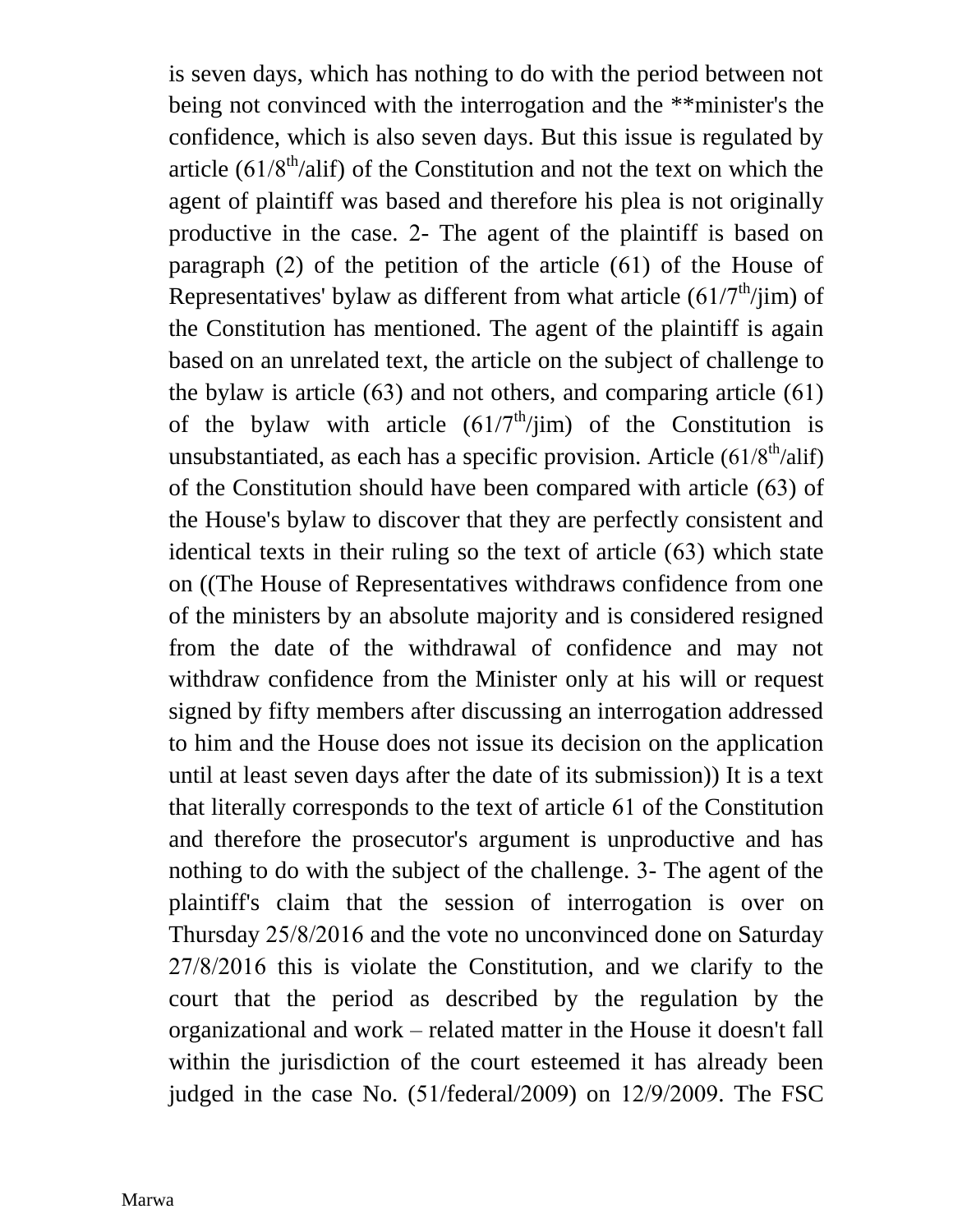is seven days, which has nothing to do with the period between not being not convinced with the interrogation and the \*\*minister's the confidence, which is also seven days. But this issue is regulated by article  $(61/8^{\text{th}}/\text{alif})$  of the Constitution and not the text on which the agent of plaintiff was based and therefore his plea is not originally productive in the case. 2- The agent of the plaintiff is based on paragraph  $(2)$  of the petition of the article  $(61)$  of the House of Representatives' bylaw as different from what article  $(61/7<sup>th</sup>/jim)$  of the Constitution has mentioned. The agent of the plaintiff is again based on an unrelated text, the article on the subject of challenge to the bylaw is article  $(63)$  and not others, and comparing article  $(61)$ of the bylaw with article  $(61/7<sup>th</sup>/jim)$  of the Constitution is unsubstantiated, as each has a specific provision. Article  $(61/8<sup>th</sup>/alif)$ of the Constitution should have been compared with article  $(63)$  of the House's bylaw to discover that they are perfectly consistent and identical texts in their ruling so the text of article  $(63)$  which state on ((The House of Representatives withdraws confidence from one of the ministers by an absolute majority and is considered resigned from the date of the withdrawal of confidence and may not withdraw confidence from the Minister only at his will or request signed by fifty members after discussing an interrogation addressed to him and the House does not issue its decision on the application until at least seven days after the date of its submission)) It is a text that literally corresponds to the text of article 61 of the Constitution and therefore the prosecutor's argument is unproductive and has nothing to do with the subject of the challenge. 3- The agent of the plaintiff's claim that the session of interrogation is over on Thursday 25/8/2016 and the vote no unconvinced done on Saturday  $27/8/2016$  this is violate the Constitution, and we clarify to the court that the period as described by the regulation by the organizational and work – related matter in the House it doesn't fall within the jurisdiction of the court esteemed it has already been judged in the case No.  $(51/\text{federal}/ 2009)$  on  $12/9/2009$ . The FSC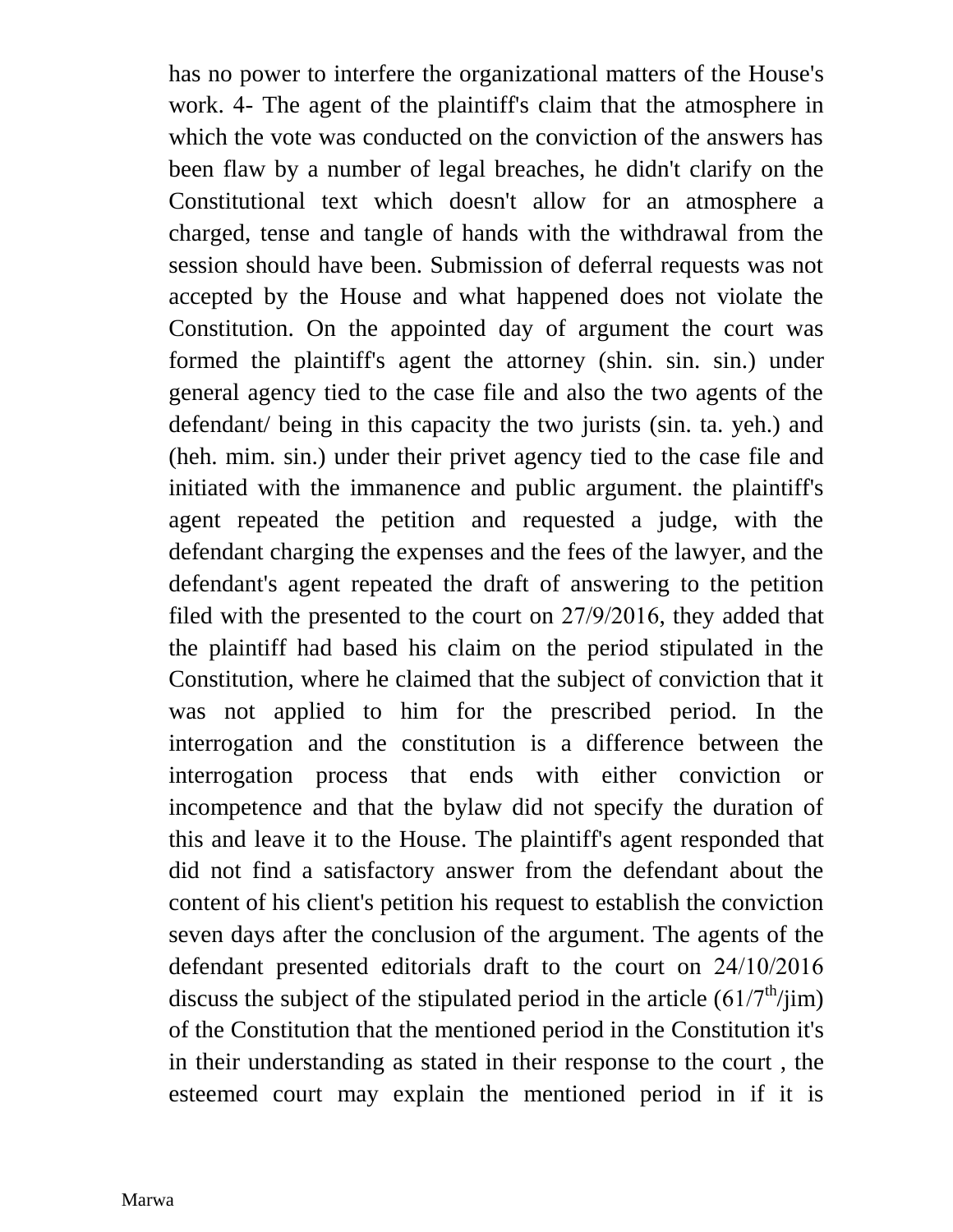has no power to interfere the organizational matters of the House's work. 4- The agent of the plaintiff's claim that the atmosphere in which the vote was conducted on the conviction of the answers has been flaw by a number of legal breaches, he didn't clarify on the Constitutional text which doesn't allow for an atmosphere a charged, tense and tangle of hands with the withdrawal from the session should have been. Submission of deferral requests was not accepted by the House and what happened does not violate the Constitution. On the appointed day of argument the court was formed the plaintiff's agent the attorney (shin. sin. sin.) under general agency tied to the case file and also the two agents of the defendant/ being in this capacity the two jurists (sin. ta. yeh.) and (heh. mim. sin.) under their privet agency tied to the case file and initiated with the immanence and public argument. the plaintiff's agent repeated the petition and requested a judge, with the defendant charging the expenses and the fees of the lawyer, and the defendant's agent repeated the draft of answering to the petition filed with the presented to the court on  $27/9/2016$ , they added that the plaintiff had based his claim on the period stipulated in the Constitution, where he claimed that the subject of conviction that it was not applied to him for the prescribed period. In the interrogation and the constitution is a difference between the interrogation process that ends with either conviction or incompetence and that the bylaw did not specify the duration of this and leave it to the House. The plaintiff's agent responded that did not find a satisfactory answer from the defendant about the content of his client's petition his request to establish the conviction seven days after the conclusion of the argument. The agents of the defendant presented editorials draft to the court on  $24/10/2016$ discuss the subject of the stipulated period in the article  $(61/7<sup>th</sup>/jim)$ of the Constitution that the mentioned period in the Constitution it's in their understanding as stated in their response to the court , the esteemed court may explain the mentioned period in if it is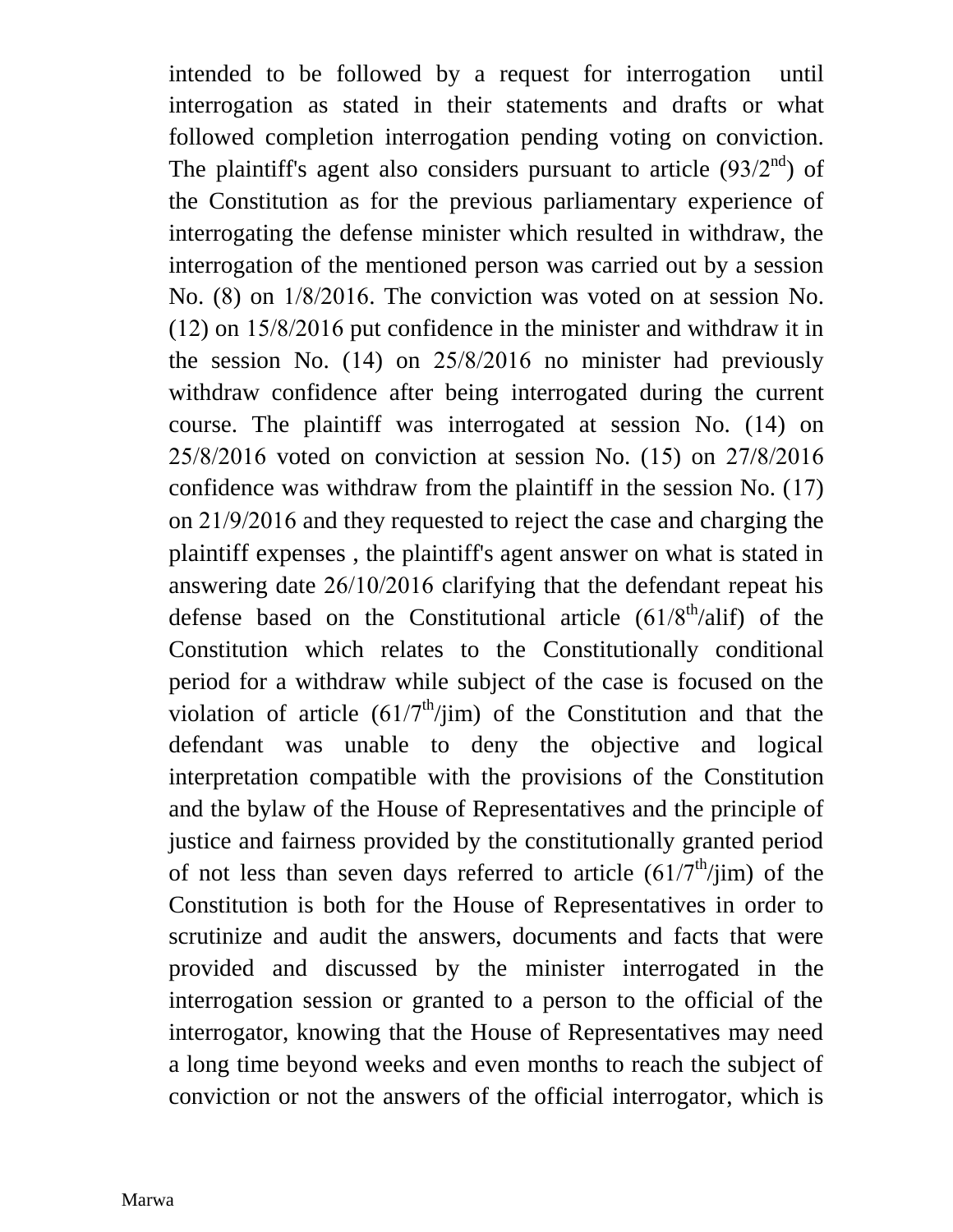intended to be followed by a request for interrogation until interrogation as stated in their statements and drafts or what followed completion interrogation pending voting on conviction. The plaintiff's agent also considers pursuant to article  $(93/2<sup>nd</sup>)$  of the Constitution as for the previous parliamentary experience of interrogating the defense minister which resulted in withdraw, the interrogation of the mentioned person was carried out by a session No.  $(8)$  on  $1/8/2016$ . The conviction was voted on at session No.  $(12)$  on  $15/8/2016$  put confidence in the minister and withdraw it in the session No.  $(14)$  on  $25/8/2016$  no minister had previously withdraw confidence after being interrogated during the current course. The plaintiff was interrogated at session No. (14) on  $25/8/2016$  voted on conviction at session No. (15) on  $27/8/2016$ confidence was withdraw from the plaintiff in the session  $No. (17)$ on  $21/9/2016$  and they requested to reject the case and charging the plaintiff expenses , the plaintiff's agent answer on what is stated in answering date  $26/10/2016$  clarifying that the defendant repeat his defense based on the Constitutional article  $(61/8<sup>th</sup>/ali)$  of the Constitution which relates to the Constitutionally conditional period for a withdraw while subject of the case is focused on the violation of article  $(61/7<sup>th</sup>/jim)$  of the Constitution and that the defendant was unable to deny the objective and logical interpretation compatible with the provisions of the Constitution and the bylaw of the House of Representatives and the principle of justice and fairness provided by the constitutionally granted period of not less than seven days referred to article  $(61/7<sup>th</sup>/jim)$  of the Constitution is both for the House of Representatives in order to scrutinize and audit the answers, documents and facts that were provided and discussed by the minister interrogated in the interrogation session or granted to a person to the official of the interrogator, knowing that the House of Representatives may need a long time beyond weeks and even months to reach the subject of conviction or not the answers of the official interrogator, which is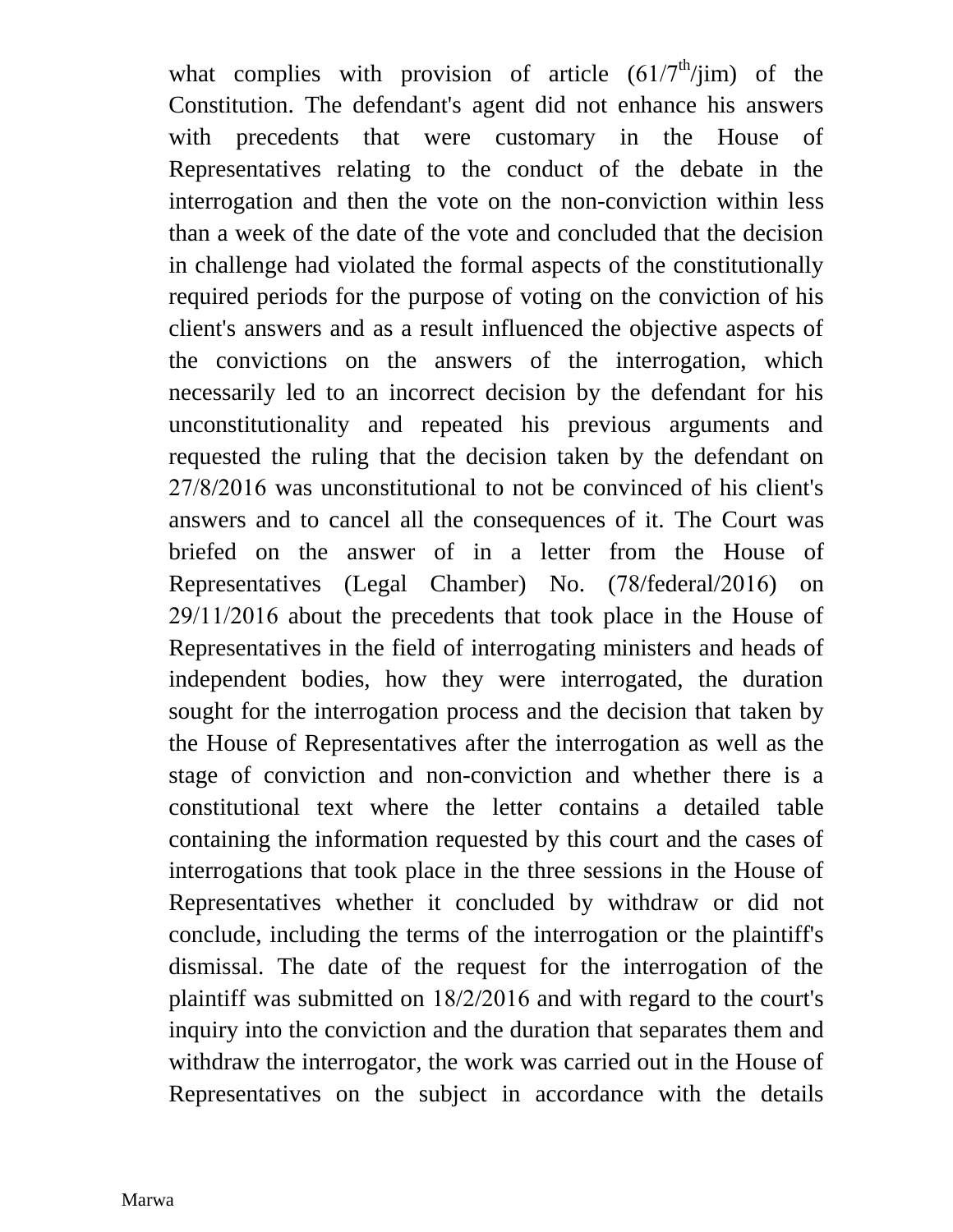what complies with provision of article  $(61/7<sup>th</sup>/jim)$  of the Constitution. The defendant's agent did not enhance his answers with precedents that were customary in the House of Representatives relating to the conduct of the debate in the interrogation and then the vote on the non-conviction within less than a week of the date of the vote and concluded that the decision in challenge had violated the formal aspects of the constitutionally required periods for the purpose of voting on the conviction of his client's answers and as a result influenced the objective aspects of the convictions on the answers of the interrogation, which necessarily led to an incorrect decision by the defendant for his unconstitutionality and repeated his previous arguments and requested the ruling that the decision taken by the defendant on  $27/8/2016$  was unconstitutional to not be convinced of his client's answers and to cancel all the consequences of it. The Court was briefed on the answer of in a letter from the House of Representatives (Legal Chamber) No. (78/federal/2016) on  $29/11/2016$  about the precedents that took place in the House of Representatives in the field of interrogating ministers and heads of independent bodies, how they were interrogated, the duration sought for the interrogation process and the decision that taken by the House of Representatives after the interrogation as well as the stage of conviction and non-conviction and whether there is a constitutional text where the letter contains a detailed table containing the information requested by this court and the cases of interrogations that took place in the three sessions in the House of Representatives whether it concluded by withdraw or did not conclude, including the terms of the interrogation or the plaintiff's dismissal. The date of the request for the interrogation of the plaintiff was submitted on  $18/2/2016$  and with regard to the court's inquiry into the conviction and the duration that separates them and withdraw the interrogator, the work was carried out in the House of Representatives on the subject in accordance with the details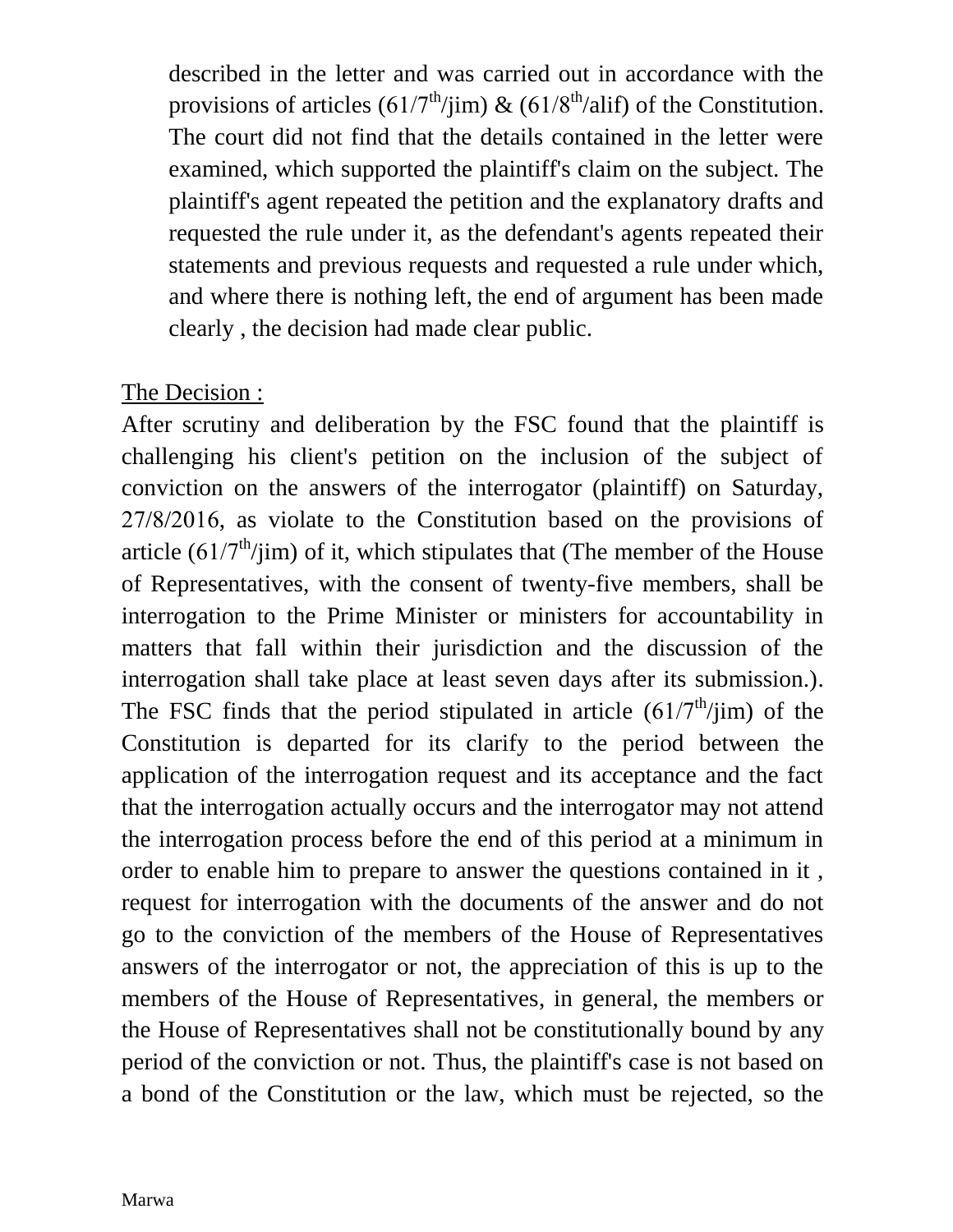described in the letter and was carried out in accordance with the provisions of articles ( $61/7^{\text{th}}/j$ im) & ( $61/8^{\text{th}}/al$ if) of the Constitution. The court did not find that the details contained in the letter were examined, which supported the plaintiff's claim on the subject. The plaintiff's agent repeated the petition and the explanatory drafts and requested the rule under it, as the defendant's agents repeated their statements and previous requests and requested a rule under which, and where there is nothing left, the end of argument has been made clearly , the decision had made clear public.

## The Decision :

After scrutiny and deliberation by the FSC found that the plaintiff is challenging his client's petition on the inclusion of the subject of conviction on the answers of the interrogator (plaintiff) on Saturday,  $27/8/2016$ , as violate to the Constitution based on the provisions of article  $(61/7<sup>th</sup>/jim)$  of it, which stipulates that (The member of the House of Representatives, with the consent of twenty-five members, shall be interrogation to the Prime Minister or ministers for accountability in matters that fall within their jurisdiction and the discussion of the interrogation shall take place at least seven days after its submission.). The FSC finds that the period stipulated in article  $(61/7<sup>th</sup>/jim)$  of the Constitution is departed for its clarify to the period between the application of the interrogation request and its acceptance and the fact that the interrogation actually occurs and the interrogator may not attend the interrogation process before the end of this period at a minimum in order to enable him to prepare to answer the questions contained in it , request for interrogation with the documents of the answer and do not go to the conviction of the members of the House of Representatives answers of the interrogator or not, the appreciation of this is up to the members of the House of Representatives, in general, the members or the House of Representatives shall not be constitutionally bound by any period of the conviction or not. Thus, the plaintiff's case is not based on a bond of the Constitution or the law, which must be rejected, so the